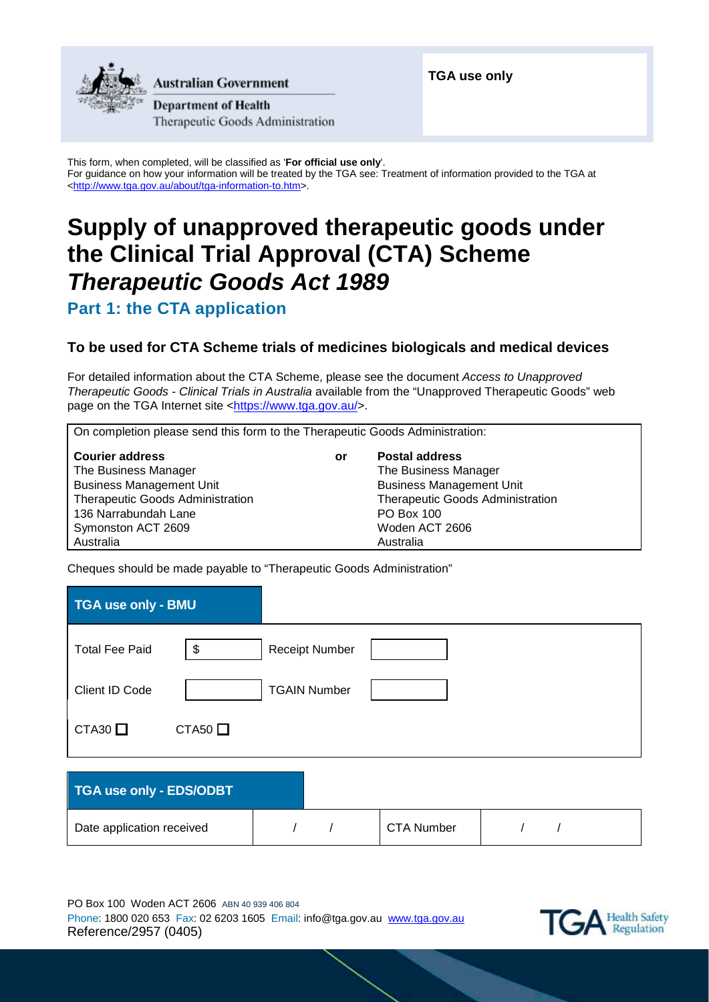

Australian Government

**Department of Health** Therapeutic Goods Administration

This form, when completed, will be classified as '**For official use only**'. For guidance on how your information will be treated by the TGA see: Treatment of information provided to the TGA at [<http://www.tga.gov.au/about/tga-information-to.htm>](http://www.tga.gov.au/about/tga-information-to.htm).

# **Supply of unapproved therapeutic goods under the Clinical Trial Approval (CTA) Scheme** *Therapeutic Goods Act 1989*

**Part 1: the CTA application**

## **To be used for CTA Scheme trials of medicines biologicals and medical devices**

For detailed information about the CTA Scheme, please see the document *Access to Unapproved Therapeutic Goods - Clinical Trials in Australia* available from the "Unapproved Therapeutic Goods" web page on the TGA Internet site [<https://www.tga.gov.au/>](https://www.tga.gov.au/).

On completion please send this form to the Therapeutic Goods Administration:

| <b>Courier address</b>           | or | <b>Postal address</b>                   |
|----------------------------------|----|-----------------------------------------|
| The Business Manager             |    | The Business Manager                    |
| <b>Business Management Unit</b>  |    | <b>Business Management Unit</b>         |
| Therapeutic Goods Administration |    | <b>Therapeutic Goods Administration</b> |
| 136 Narrabundah Lane             |    | <b>PO Box 100</b>                       |
| Symonston ACT 2609               |    | Woden ACT 2606                          |
| Australia                        |    | Australia                               |

Cheques should be made payable to "Therapeutic Goods Administration"

| TGA use only - BMU    |                |                       |  |  |
|-----------------------|----------------|-----------------------|--|--|
| <b>Total Fee Paid</b> | \$             | <b>Receipt Number</b> |  |  |
| Client ID Code        |                | <b>TGAIN Number</b>   |  |  |
| $CTA30$ $\Box$        | $CTA50$ $\Box$ |                       |  |  |
|                       |                |                       |  |  |

| TGA use only - EDS/ODBT   |  |            |  |  |
|---------------------------|--|------------|--|--|
| Date application received |  | CTA Number |  |  |

PO Box 100 Woden ACT 2606 ABN 40 939 406 804 Phone: 1800 020 653 Fax: 02 6203 1605 Email: info@tga.gov.au [www.tga.gov.au](http://www.tga.gov.au/) Reference/2957 (0405)

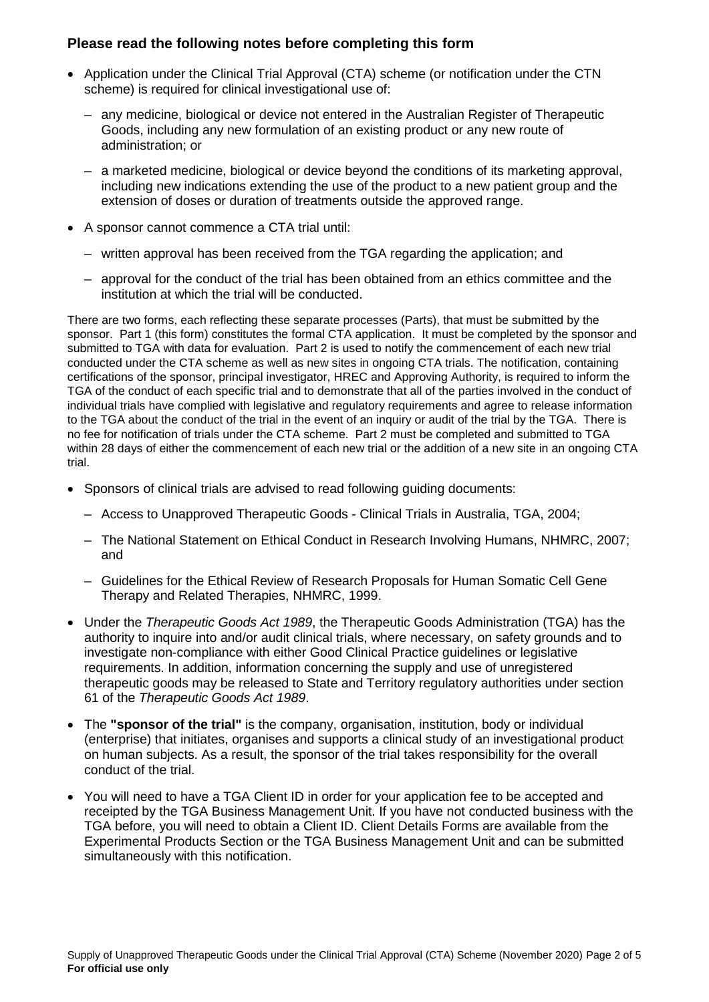### **Please read the following notes before completing this form**

- Application under the Clinical Trial Approval (CTA) scheme (or notification under the CTN scheme) is required for clinical investigational use of:
	- any medicine, biological or device not entered in the Australian Register of Therapeutic Goods, including any new formulation of an existing product or any new route of administration; or
	- a marketed medicine, biological or device beyond the conditions of its marketing approval, including new indications extending the use of the product to a new patient group and the extension of doses or duration of treatments outside the approved range.
- A sponsor cannot commence a CTA trial until:
	- written approval has been received from the TGA regarding the application; and
	- approval for the conduct of the trial has been obtained from an ethics committee and the institution at which the trial will be conducted.

There are two forms, each reflecting these separate processes (Parts), that must be submitted by the sponsor. Part 1 (this form) constitutes the formal CTA application. It must be completed by the sponsor and submitted to TGA with data for evaluation. Part 2 is used to notify the commencement of each new trial conducted under the CTA scheme as well as new sites in ongoing CTA trials. The notification, containing certifications of the sponsor, principal investigator, HREC and Approving Authority, is required to inform the TGA of the conduct of each specific trial and to demonstrate that all of the parties involved in the conduct of individual trials have complied with legislative and regulatory requirements and agree to release information to the TGA about the conduct of the trial in the event of an inquiry or audit of the trial by the TGA. There is no fee for notification of trials under the CTA scheme. Part 2 must be completed and submitted to TGA within 28 days of either the commencement of each new trial or the addition of a new site in an ongoing CTA trial.

- Sponsors of clinical trials are advised to read following guiding documents:
	- Access to Unapproved Therapeutic Goods Clinical Trials in Australia, TGA, 2004;
	- The National Statement on Ethical Conduct in Research Involving Humans, NHMRC, 2007; and
	- Guidelines for the Ethical Review of Research Proposals for Human Somatic Cell Gene Therapy and Related Therapies, NHMRC, 1999.
- Under the *Therapeutic Goods Act 1989*, the Therapeutic Goods Administration (TGA) has the authority to inquire into and/or audit clinical trials, where necessary, on safety grounds and to investigate non-compliance with either Good Clinical Practice guidelines or legislative requirements. In addition, information concerning the supply and use of unregistered therapeutic goods may be released to State and Territory regulatory authorities under section 61 of the *Therapeutic Goods Act 1989*.
- The **"sponsor of the trial"** is the company, organisation, institution, body or individual (enterprise) that initiates, organises and supports a clinical study of an investigational product on human subjects. As a result, the sponsor of the trial takes responsibility for the overall conduct of the trial.
- You will need to have a TGA Client ID in order for your application fee to be accepted and receipted by the TGA Business Management Unit. If you have not conducted business with the TGA before, you will need to obtain a Client ID. Client Details Forms are available from the Experimental Products Section or the TGA Business Management Unit and can be submitted simultaneously with this notification.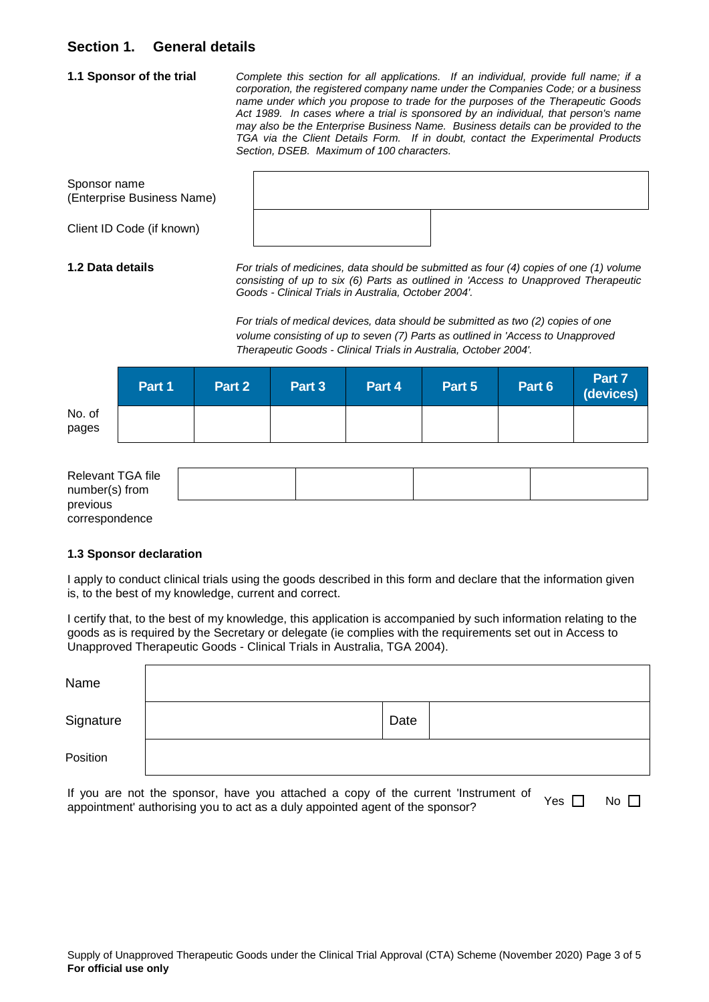### **Section 1. General details**

**1.1 Sponsor of the trial** *Complete this section for all applications. If an individual, provide full name; if a corporation, the registered company name under the Companies Code; or a business name under which you propose to trade for the purposes of the Therapeutic Goods Act 1989. In cases where a trial is sponsored by an individual, that person's name may also be the Enterprise Business Name. Business details can be provided to the TGA via the Client Details Form. If in doubt, contact the Experimental Products Section, DSEB. Maximum of 100 characters.*

Sponsor name (Enterprise Business Name)

Client ID Code (if known)

**1.2 Data details** *For trials of medicines, data should be submitted as four (4) copies of one (1) volume consisting of up to six (6) Parts as outlined in 'Access to Unapproved Therapeutic Goods - Clinical Trials in Australia, October 2004'.*

> *For trials of medical devices, data should be submitted as two (2) copies of one volume consisting of up to seven (7) Parts as outlined in 'Access to Unapproved Therapeutic Goods - Clinical Trials in Australia, October 2004'.*

|                 | Part 1 | Part 2 | Part 3 | Part 4 | Part 5 | Part 6 | Part 7<br>(devices) |
|-----------------|--------|--------|--------|--------|--------|--------|---------------------|
| No. of<br>pages |        |        |        |        |        |        |                     |

| Relevant TGA file |  |  |
|-------------------|--|--|
| number(s) from    |  |  |
| previous          |  |  |
| correspondence    |  |  |

### **1.3 Sponsor declaration**

**For official use only**

I apply to conduct clinical trials using the goods described in this form and declare that the information given is, to the best of my knowledge, current and correct.

I certify that, to the best of my knowledge, this application is accompanied by such information relating to the goods as is required by the Secretary or delegate (ie complies with the requirements set out in Access to Unapproved Therapeutic Goods - Clinical Trials in Australia, TGA 2004).

| Name      |      |  |
|-----------|------|--|
| Signature | Date |  |
| Position  |      |  |

If you are not the sponsor, have you attached a copy of the current 'Instrument of appointment' authorising you to act as a duly appointed agent of the sponsor? Yes  $\Box$  No  $\Box$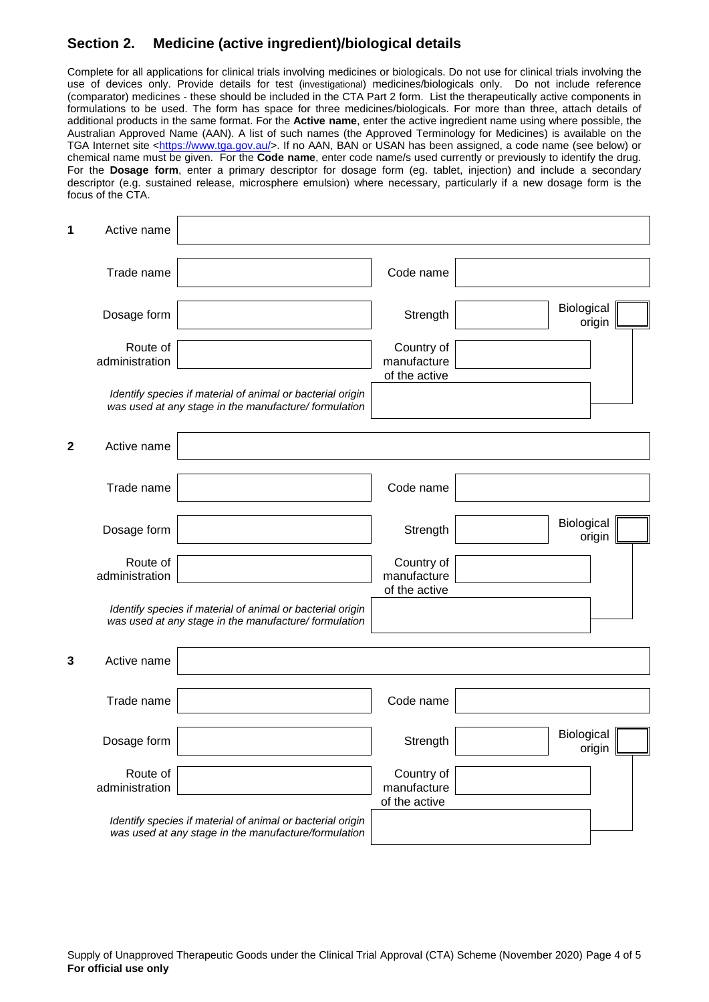### **Section 2. Medicine (active ingredient)/biological details**

Complete for all applications for clinical trials involving medicines or biologicals. Do not use for clinical trials involving the use of devices only. Provide details for test (investigational) medicines/biologicals only. Do not include reference (comparator) medicines - these should be included in the CTA Part 2 form. List the therapeutically active components in formulations to be used. The form has space for three medicines/biologicals. For more than three, attach details of additional products in the same format. For the **Active name**, enter the active ingredient name using where possible, the Australian Approved Name (AAN). A list of such names (the Approved Terminology for Medicines) is available on the TGA Internet site [<https://www.tga.gov.au/>](https://www.tga.gov.au/). If no AAN, BAN or USAN has been assigned, a code name (see below) or chemical name must be given. For the **Code name**, enter code name/s used currently or previously to identify the drug. For the **Dosage form**, enter a primary descriptor for dosage form (eg. tablet, injection) and include a secondary descriptor (e.g. sustained release, microsphere emulsion) where necessary, particularly if a new dosage form is the focus of the CTA.

| 1            | Active name                |                                                                                                                    |                                            |                      |  |
|--------------|----------------------------|--------------------------------------------------------------------------------------------------------------------|--------------------------------------------|----------------------|--|
|              | Trade name                 |                                                                                                                    | Code name                                  |                      |  |
|              | Dosage form                |                                                                                                                    | Strength                                   | Biological<br>origin |  |
|              | Route of<br>administration |                                                                                                                    | Country of<br>manufacture<br>of the active |                      |  |
|              |                            | Identify species if material of animal or bacterial origin<br>was used at any stage in the manufacture/formulation |                                            |                      |  |
| $\mathbf{2}$ | Active name                |                                                                                                                    |                                            |                      |  |
|              | Trade name                 |                                                                                                                    | Code name                                  |                      |  |
|              | Dosage form                |                                                                                                                    | Strength                                   | Biological<br>origin |  |
|              | Route of<br>administration |                                                                                                                    | Country of<br>manufacture<br>of the active |                      |  |
|              |                            | Identify species if material of animal or bacterial origin<br>was used at any stage in the manufacture/formulation |                                            |                      |  |
| 3            | Active name                |                                                                                                                    |                                            |                      |  |
|              | Trade name                 |                                                                                                                    | Code name                                  |                      |  |
|              | Dosage form                |                                                                                                                    | Strength                                   | Biological<br>origin |  |
|              | Route of<br>administration |                                                                                                                    | Country of<br>manufacture<br>of the active |                      |  |
|              |                            | Identify species if material of animal or bacterial origin<br>was used at any stage in the manufacture/formulation |                                            |                      |  |